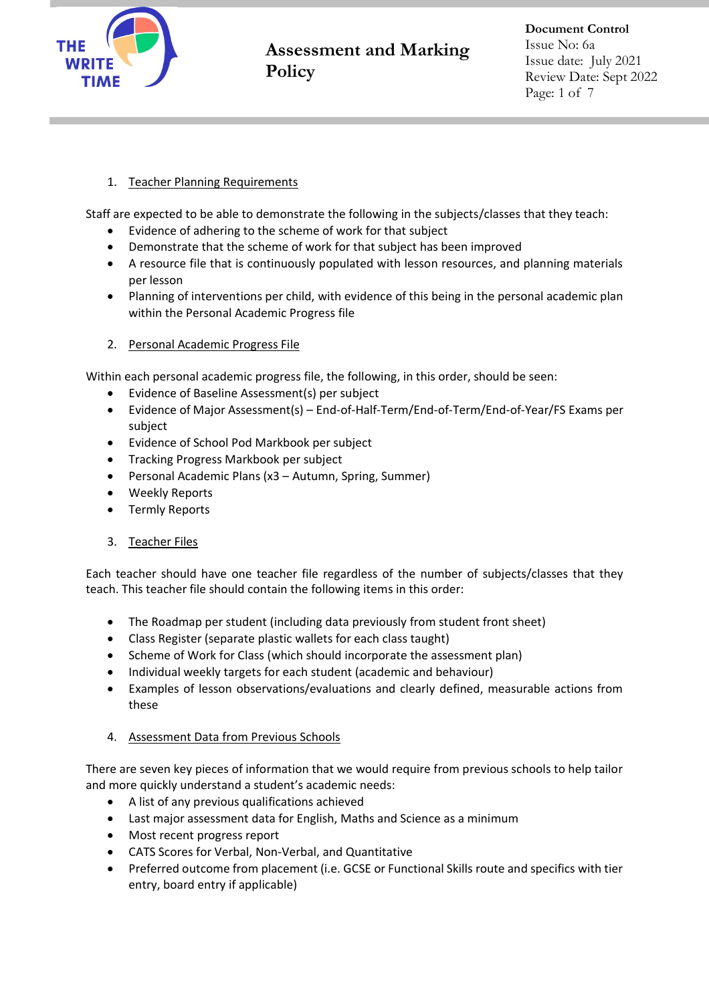

## 1. Teacher Planning Requirements

Staff are expected to be able to demonstrate the following in the subjects/classes that they teach:

- Evidence of adhering to the scheme of work for that subject
- Demonstrate that the scheme of work for that subject has been improved
- A resource file that is continuously populated with lesson resources, and planning materials per lesson
- Planning of interventions per child, with evidence of this being in the personal academic plan within the Personal Academic Progress file
- 2. Personal Academic Progress File

Within each personal academic progress file, the following, in this order, should be seen:

- Evidence of Baseline Assessment(s) per subject
- Evidence of Major Assessment(s) End-of-Half-Term/End-of-Term/End-of-Year/FS Exams per subject
- Evidence of School Pod Markbook per subject
- Tracking Progress Markbook per subject
- Personal Academic Plans (x3 Autumn, Spring, Summer)
- Weekly Reports
- Termly Reports
- 3. Teacher Files

Each teacher should have one teacher file regardless of the number of subjects/classes that they teach. This teacher file should contain the following items in this order:

- The Roadmap per student (including data previously from student front sheet)
- Class Register (separate plastic wallets for each class taught)
- Scheme of Work for Class (which should incorporate the assessment plan)
- Individual weekly targets for each student (academic and behaviour)
- Examples of lesson observations/evaluations and clearly defined, measurable actions from these

### 4. Assessment Data from Previous Schools

There are seven key pieces of information that we would require from previous schools to help tailor and more quickly understand a student's academic needs:

- A list of any previous qualifications achieved
- Last major assessment data for English, Maths and Science as a minimum
- Most recent progress report
- CATS Scores for Verbal, Non-Verbal, and Quantitative
- Preferred outcome from placement (i.e. GCSE or Functional Skills route and specifics with tier entry, board entry if applicable)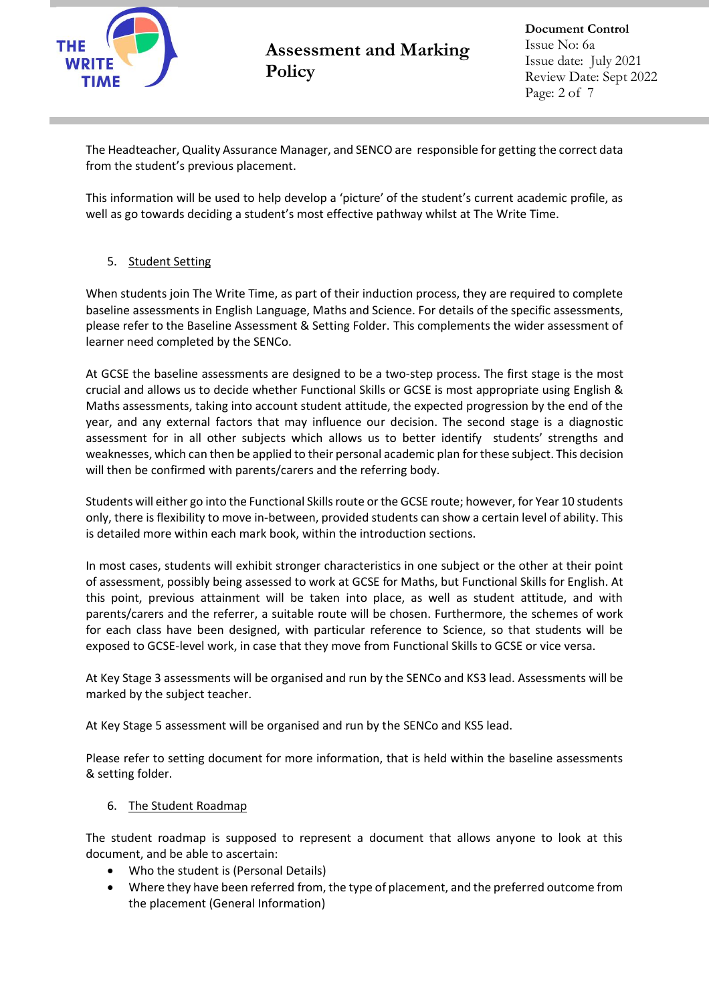

**Document Control** Issue No: 6a Issue date: July 2021 Review Date: Sept 2022 Page: 2 of 7

The Headteacher, Quality Assurance Manager, and SENCO are responsible for getting the correct data from the student's previous placement.

This information will be used to help develop a 'picture' of the student's current academic profile, as well as go towards deciding a student's most effective pathway whilst at The Write Time.

## 5. Student Setting

When students join The Write Time, as part of their induction process, they are required to complete baseline assessments in English Language, Maths and Science. For details of the specific assessments, please refer to the Baseline Assessment & Setting Folder. This complements the wider assessment of learner need completed by the SENCo.

At GCSE the baseline assessments are designed to be a two-step process. The first stage is the most crucial and allows us to decide whether Functional Skills or GCSE is most appropriate using English & Maths assessments, taking into account student attitude, the expected progression by the end of the year, and any external factors that may influence our decision. The second stage is a diagnostic assessment for in all other subjects which allows us to better identify students' strengths and weaknesses, which can then be applied to their personal academic plan for these subject. This decision will then be confirmed with parents/carers and the referring body.

Students will either go into the Functional Skills route or the GCSE route; however, for Year 10 students only, there is flexibility to move in-between, provided students can show a certain level of ability. This is detailed more within each mark book, within the introduction sections.

In most cases, students will exhibit stronger characteristics in one subject or the other at their point of assessment, possibly being assessed to work at GCSE for Maths, but Functional Skills for English. At this point, previous attainment will be taken into place, as well as student attitude, and with parents/carers and the referrer, a suitable route will be chosen. Furthermore, the schemes of work for each class have been designed, with particular reference to Science, so that students will be exposed to GCSE-level work, in case that they move from Functional Skills to GCSE or vice versa.

At Key Stage 3 assessments will be organised and run by the SENCo and KS3 lead. Assessments will be marked by the subject teacher.

At Key Stage 5 assessment will be organised and run by the SENCo and KS5 lead.

Please refer to setting document for more information, that is held within the baseline assessments & setting folder.

### 6. The Student Roadmap

The student roadmap is supposed to represent a document that allows anyone to look at this document, and be able to ascertain:

- Who the student is (Personal Details)
- Where they have been referred from, the type of placement, and the preferred outcome from the placement (General Information)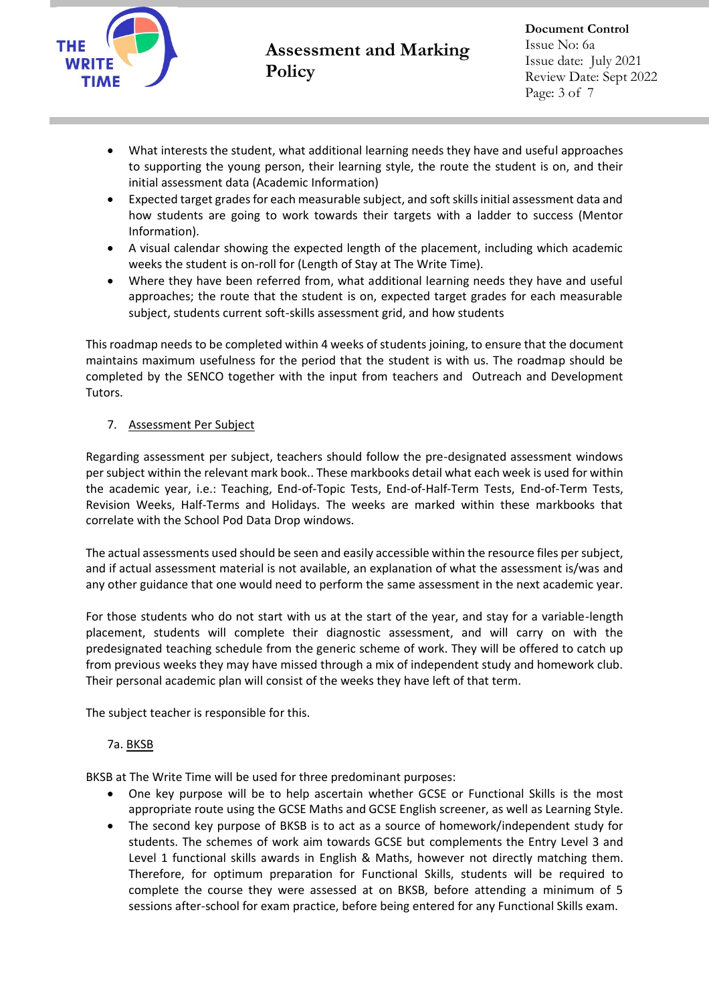

- What interests the student, what additional learning needs they have and useful approaches to supporting the young person, their learning style, the route the student is on, and their initial assessment data (Academic Information)
- Expected target grades for each measurable subject, and soft skills initial assessment data and how students are going to work towards their targets with a ladder to success (Mentor Information).
- A visual calendar showing the expected length of the placement, including which academic weeks the student is on-roll for (Length of Stay at The Write Time).
- Where they have been referred from, what additional learning needs they have and useful approaches; the route that the student is on, expected target grades for each measurable subject, students current soft-skills assessment grid, and how students

This roadmap needs to be completed within 4 weeks of students joining, to ensure that the document maintains maximum usefulness for the period that the student is with us. The roadmap should be completed by the SENCO together with the input from teachers and Outreach and Development Tutors.

## 7. Assessment Per Subject

Regarding assessment per subject, teachers should follow the pre-designated assessment windows per subject within the relevant mark book.. These markbooks detail what each week is used for within the academic year, i.e.: Teaching, End-of-Topic Tests, End-of-Half-Term Tests, End-of-Term Tests, Revision Weeks, Half-Terms and Holidays. The weeks are marked within these markbooks that correlate with the School Pod Data Drop windows.

The actual assessments used should be seen and easily accessible within the resource files per subject, and if actual assessment material is not available, an explanation of what the assessment is/was and any other guidance that one would need to perform the same assessment in the next academic year.

For those students who do not start with us at the start of the year, and stay for a variable-length placement, students will complete their diagnostic assessment, and will carry on with the predesignated teaching schedule from the generic scheme of work. They will be offered to catch up from previous weeks they may have missed through a mix of independent study and homework club. Their personal academic plan will consist of the weeks they have left of that term.

The subject teacher is responsible for this.

### 7a. BKSB

BKSB at The Write Time will be used for three predominant purposes:

- One key purpose will be to help ascertain whether GCSE or Functional Skills is the most appropriate route using the GCSE Maths and GCSE English screener, as well as Learning Style.
- The second key purpose of BKSB is to act as a source of homework/independent study for students. The schemes of work aim towards GCSE but complements the Entry Level 3 and Level 1 functional skills awards in English & Maths, however not directly matching them. Therefore, for optimum preparation for Functional Skills, students will be required to complete the course they were assessed at on BKSB, before attending a minimum of 5 sessions after-school for exam practice, before being entered for any Functional Skills exam.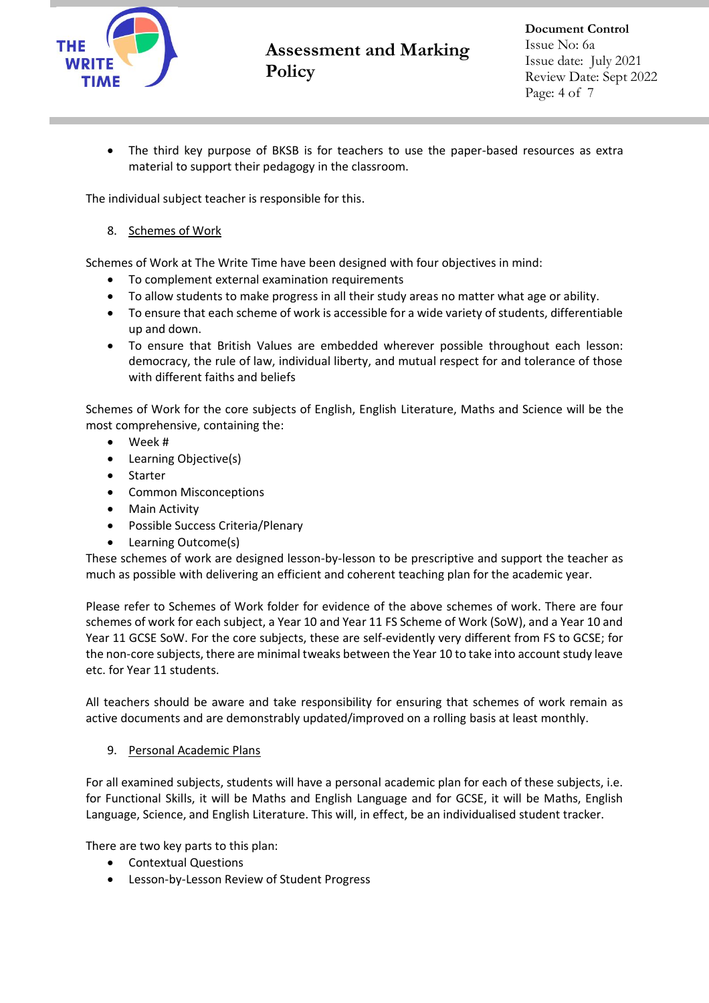

The third key purpose of BKSB is for teachers to use the paper-based resources as extra material to support their pedagogy in the classroom.

The individual subject teacher is responsible for this.

### 8. Schemes of Work

Schemes of Work at The Write Time have been designed with four objectives in mind:

- To complement external examination requirements
- To allow students to make progress in all their study areas no matter what age or ability.
- To ensure that each scheme of work is accessible for a wide variety of students, differentiable up and down.
- To ensure that British Values are embedded wherever possible throughout each lesson: democracy, the rule of law, individual liberty, and mutual respect for and tolerance of those with different faiths and beliefs

Schemes of Work for the core subjects of English, English Literature, Maths and Science will be the most comprehensive, containing the:

- Week #
- Learning Objective(s)
- Starter
- Common Misconceptions
- Main Activity
- Possible Success Criteria/Plenary
- Learning Outcome(s)

These schemes of work are designed lesson-by-lesson to be prescriptive and support the teacher as much as possible with delivering an efficient and coherent teaching plan for the academic year.

Please refer to Schemes of Work folder for evidence of the above schemes of work. There are four schemes of work for each subject, a Year 10 and Year 11 FS Scheme of Work (SoW), and a Year 10 and Year 11 GCSE SoW. For the core subjects, these are self-evidently very different from FS to GCSE; for the non-core subjects, there are minimal tweaks between the Year 10 to take into account study leave etc. for Year 11 students.

All teachers should be aware and take responsibility for ensuring that schemes of work remain as active documents and are demonstrably updated/improved on a rolling basis at least monthly.

### 9. Personal Academic Plans

For all examined subjects, students will have a personal academic plan for each of these subjects, i.e. for Functional Skills, it will be Maths and English Language and for GCSE, it will be Maths, English Language, Science, and English Literature. This will, in effect, be an individualised student tracker.

There are two key parts to this plan:

- Contextual Questions
- Lesson-by-Lesson Review of Student Progress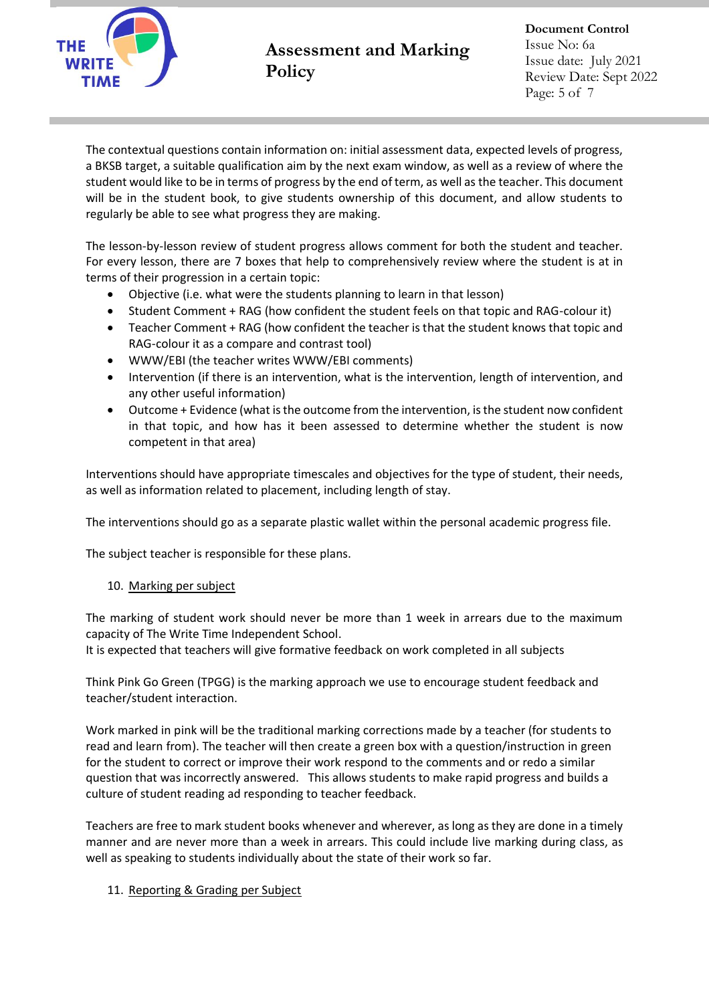

The contextual questions contain information on: initial assessment data, expected levels of progress, a BKSB target, a suitable qualification aim by the next exam window, as well as a review of where the student would like to be in terms of progress by the end of term, as well as the teacher. This document will be in the student book, to give students ownership of this document, and allow students to regularly be able to see what progress they are making.

The lesson-by-lesson review of student progress allows comment for both the student and teacher. For every lesson, there are 7 boxes that help to comprehensively review where the student is at in terms of their progression in a certain topic:

- Objective (i.e. what were the students planning to learn in that lesson)
- Student Comment + RAG (how confident the student feels on that topic and RAG-colour it)
- Teacher Comment + RAG (how confident the teacher is that the student knows that topic and RAG-colour it as a compare and contrast tool)
- WWW/EBI (the teacher writes WWW/EBI comments)
- Intervention (if there is an intervention, what is the intervention, length of intervention, and any other useful information)
- Outcome + Evidence (what is the outcome from the intervention, is the student now confident in that topic, and how has it been assessed to determine whether the student is now competent in that area)

Interventions should have appropriate timescales and objectives for the type of student, their needs, as well as information related to placement, including length of stay.

The interventions should go as a separate plastic wallet within the personal academic progress file.

The subject teacher is responsible for these plans.

#### 10. Marking per subject

The marking of student work should never be more than 1 week in arrears due to the maximum capacity of The Write Time Independent School.

It is expected that teachers will give formative feedback on work completed in all subjects

Think Pink Go Green (TPGG) is the marking approach we use to encourage student feedback and teacher/student interaction.

Work marked in pink will be the traditional marking corrections made by a teacher (for students to read and learn from). The teacher will then create a green box with a question/instruction in green for the student to correct or improve their work respond to the comments and or redo a similar question that was incorrectly answered. This allows students to make rapid progress and builds a culture of student reading ad responding to teacher feedback.

Teachers are free to mark student books whenever and wherever, as long as they are done in a timely manner and are never more than a week in arrears. This could include live marking during class, as well as speaking to students individually about the state of their work so far.

### 11. Reporting & Grading per Subject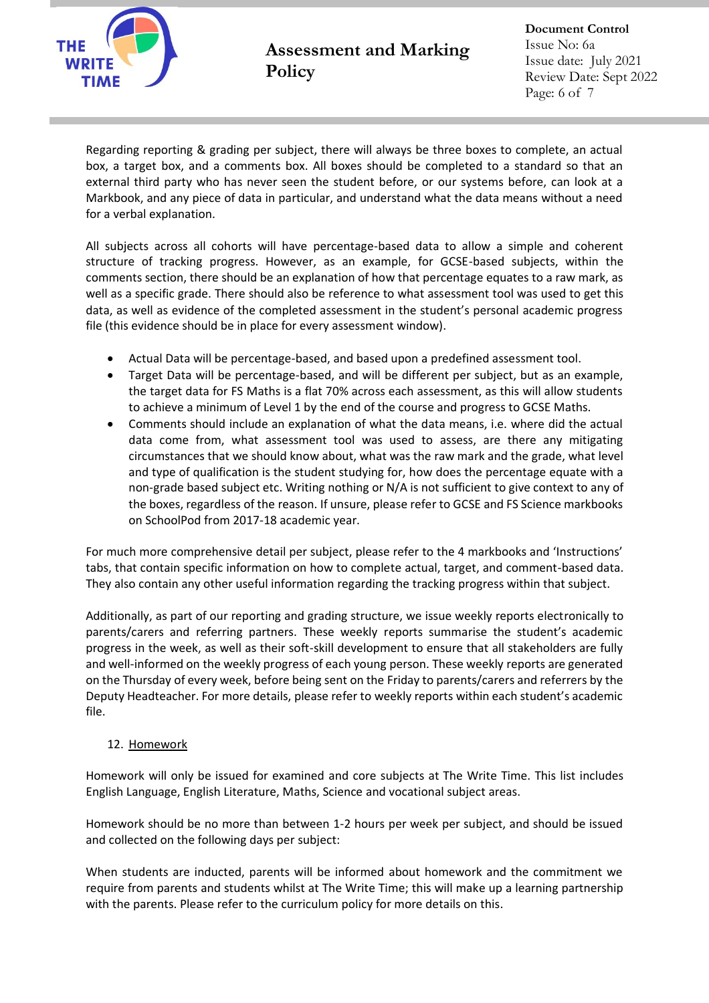

**Document Control** Issue No: 6a Issue date: July 2021 Review Date: Sept 2022 Page: 6 of 7

Regarding reporting & grading per subject, there will always be three boxes to complete, an actual box, a target box, and a comments box. All boxes should be completed to a standard so that an external third party who has never seen the student before, or our systems before, can look at a Markbook, and any piece of data in particular, and understand what the data means without a need for a verbal explanation.

All subjects across all cohorts will have percentage-based data to allow a simple and coherent structure of tracking progress. However, as an example, for GCSE-based subjects, within the comments section, there should be an explanation of how that percentage equates to a raw mark, as well as a specific grade. There should also be reference to what assessment tool was used to get this data, as well as evidence of the completed assessment in the student's personal academic progress file (this evidence should be in place for every assessment window).

- Actual Data will be percentage-based, and based upon a predefined assessment tool.
- Target Data will be percentage-based, and will be different per subject, but as an example, the target data for FS Maths is a flat 70% across each assessment, as this will allow students to achieve a minimum of Level 1 by the end of the course and progress to GCSE Maths.
- Comments should include an explanation of what the data means, i.e. where did the actual data come from, what assessment tool was used to assess, are there any mitigating circumstances that we should know about, what was the raw mark and the grade, what level and type of qualification is the student studying for, how does the percentage equate with a non-grade based subject etc. Writing nothing or N/A is not sufficient to give context to any of the boxes, regardless of the reason. If unsure, please refer to GCSE and FS Science markbooks on SchoolPod from 2017-18 academic year.

For much more comprehensive detail per subject, please refer to the 4 markbooks and 'Instructions' tabs, that contain specific information on how to complete actual, target, and comment-based data. They also contain any other useful information regarding the tracking progress within that subject.

Additionally, as part of our reporting and grading structure, we issue weekly reports electronically to parents/carers and referring partners. These weekly reports summarise the student's academic progress in the week, as well as their soft-skill development to ensure that all stakeholders are fully and well-informed on the weekly progress of each young person. These weekly reports are generated on the Thursday of every week, before being sent on the Friday to parents/carers and referrers by the Deputy Headteacher. For more details, please refer to weekly reports within each student's academic file.

### 12. Homework

Homework will only be issued for examined and core subjects at The Write Time. This list includes English Language, English Literature, Maths, Science and vocational subject areas.

Homework should be no more than between 1-2 hours per week per subject, and should be issued and collected on the following days per subject:

When students are inducted, parents will be informed about homework and the commitment we require from parents and students whilst at The Write Time; this will make up a learning partnership with the parents. Please refer to the curriculum policy for more details on this.